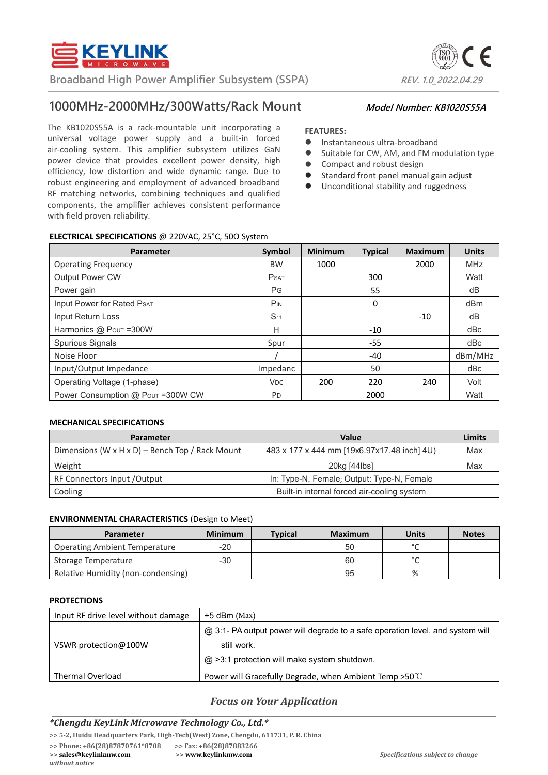

**Broadband High Power Amplifier Subsystem (SSPA)** *REV. 1.0\_2022.04.29* 

# **1000MHz-2000MHz/300Watts/Rack Mount Model Number: KB1020S55A**

The KB1020S55A is a rack-mountable unit incorporating a universal voltage power supply and a built-in forced air-cooling system. This amplifier subsystem utilizes GaN power device that provides excellent power density, high efficiency, low distortion and wide dynamic range. Due to robust engineering and employment of advanced broadband RF matching networks, combining techniques and qualified components, the amplifier achieves consistent performance with field proven reliability.

#### **FEATURES:**

- **•** Instantaneous ultra-broadband
- Suitable for CW, AM, and FM modulation type
- Compact and robust design
- Standard front panel manual gain adjust
- Unconditional stability and ruggedness

### **ELECTRICAL SPECIFICATIONS** @ 220VAC, 25°C, 50Ω System

| Parameter                         | Symbol          | <b>Minimum</b> | <b>Typical</b> | <b>Maximum</b> | <b>Units</b> |
|-----------------------------------|-----------------|----------------|----------------|----------------|--------------|
| <b>Operating Frequency</b>        | <b>BW</b>       | 1000           |                | 2000           | <b>MHz</b>   |
| <b>Output Power CW</b>            | <b>P</b> SAT    |                | 300            |                | Watt         |
| Power gain                        | PG              |                | 55             |                | dB           |
| <b>Input Power for Rated PsAT</b> | <b>PIN</b>      |                | 0              |                | dBm          |
| Input Return Loss                 | S <sub>11</sub> |                |                | $-10$          | dB           |
| Harmonics @ Pout =300W            | Н               |                | $-10$          |                | dBc          |
| Spurious Signals                  | Spur            |                | $-55$          |                | dBc          |
| Noise Floor                       |                 |                | -40            |                | dBm/MHz      |
| Input/Output Impedance            | Impedanc        |                | 50             |                | dBc          |
| Operating Voltage (1-phase)       | V <sub>DC</sub> | 200            | 220            | 240            | Volt         |
| Power Consumption @ Pour =300W CW | PD              |                | 2000           |                | Watt         |

#### **MECHANICAL SPECIFICATIONS**

| <b>Parameter</b>                                | Value                                       | <b>Limits</b> |
|-------------------------------------------------|---------------------------------------------|---------------|
| Dimensions (W x H x D) - Bench Top / Rack Mount | 483 x 177 x 444 mm [19x6.97x17.48 inch] 4U) | Max           |
| Weight                                          | 20kg [44lbs]                                | Max           |
| RF Connectors Input / Output                    | In: Type-N, Female; Output: Type-N, Female  |               |
| Cooling                                         | Built-in internal forced air-cooling system |               |

#### **ENVIRONMENTAL CHARACTERISTICS** (Design to Meet)

| <b>Parameter</b>                     | <b>Minimum</b> | <b>Typical</b> | <b>Maximum</b> | <b>Units</b> | <b>Notes</b> |
|--------------------------------------|----------------|----------------|----------------|--------------|--------------|
| <b>Operating Ambient Temperature</b> | $-20$          |                | 50             | $\sim$       |              |
| Storage Temperature                  | -30            |                | 60             | $\sim$       |              |
| Relative Humidity (non-condensing)   |                |                | 95             | %            |              |

#### **PROTECTIONS**

| Input RF drive level without damage | +5 dBm (Max)                                                                   |
|-------------------------------------|--------------------------------------------------------------------------------|
|                                     | @ 3:1- PA output power will degrade to a safe operation level, and system will |
| VSWR protection@100W                | still work.                                                                    |
|                                     | $@$ >3:1 protection will make system shutdown.                                 |
| <b>Thermal Overload</b>             | Power will Gracefully Degrade, when Ambient Temp $>50^{\circ}$ C               |

## *Focus on Your Application*

#### *\*Chengdu KeyLink Microwave Technology Co., Ltd.\**

**>> 5-2, Huidu Headquarters Park, High-Tech(West) Zone, Chengdu, 611731, P. R. China**

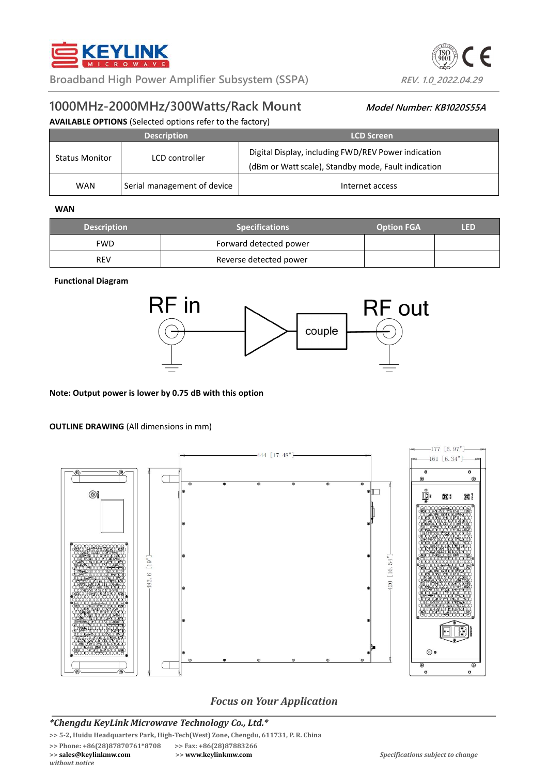



# **1000MHz-2000MHz/300Watts/Rack Mount Model Number: KB1020S55A**

#### **AVAILABLE OPTIONS** (Selected options refer to the factory)

|                       | <b>Description</b>          | <b>LCD Screen</b>                                                                                          |
|-----------------------|-----------------------------|------------------------------------------------------------------------------------------------------------|
| <b>Status Monitor</b> | LCD controller              | Digital Display, including FWD/REV Power indication<br>(dBm or Watt scale), Standby mode, Fault indication |
| <b>WAN</b>            | Serial management of device | Internet access                                                                                            |

#### **WAN**

| <b>Description</b> | <b>Specifications</b>  | <b>Option FGA</b> | m |
|--------------------|------------------------|-------------------|---|
| FWD.               | Forward detected power |                   |   |
| <b>REV</b>         | Reverse detected power |                   |   |

#### **Functional Diagram**



#### **Note: Output power is lower by 0.75 dB with this option**

#### **OUTLINE DRAWING** (All dimensions in mm)



# *Focus on Your Application*

### *\*Chengdu KeyLink Microwave Technology Co., Ltd.\**

**>> 5-2, Huidu Headquarters Park, High-Tech(West) Zone, Chengdu, 611731, P. R. China**